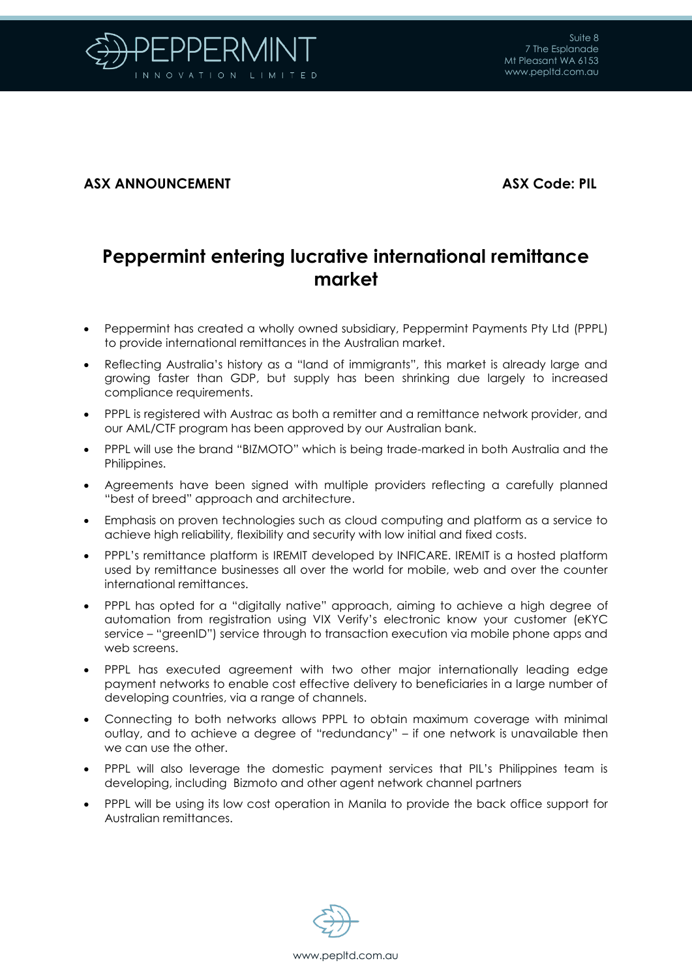

## **ASX ANNOUNCEMENT ASX Code: PIL**

# **Peppermint entering lucrative international remittance market**

- Peppermint has created a wholly owned subsidiary, Peppermint Payments Pty Ltd (PPPL) to provide international remittances in the Australian market.
- Reflecting Australia's history as a "land of immigrants", this market is already large and growing faster than GDP, but supply has been shrinking due largely to increased compliance requirements.
- PPPL is registered with Austrac as both a remitter and a remittance network provider, and our AML/CTF program has been approved by our Australian bank.
- PPPL will use the brand "BIZMOTO" which is being trade-marked in both Australia and the Philippines.
- Agreements have been signed with multiple providers reflecting a carefully planned "best of breed" approach and architecture.
- Emphasis on proven technologies such as cloud computing and platform as a service to achieve high reliability, flexibility and security with low initial and fixed costs.
- PPPL's remittance platform is IREMIT developed by INFICARE. IREMIT is a hosted platform used by remittance businesses all over the world for mobile, web and over the counter international remittances.
- PPPL has opted for a "digitally native" approach, aiming to achieve a high degree of automation from registration using VIX Verify's electronic know your customer (eKYC service – "greenID") service through to transaction execution via mobile phone apps and web screens.
- PPPL has executed agreement with two other major internationally leading edge payment networks to enable cost effective delivery to beneficiaries in a large number of developing countries, via a range of channels.
- Connecting to both networks allows PPPL to obtain maximum coverage with minimal outlay, and to achieve a degree of "redundancy" – if one network is unavailable then we can use the other.
- PPPL will also leverage the domestic payment services that PIL's Philippines team is developing, including Bizmoto and other agent network channel partners
- PPPL will be using its low cost operation in Manila to provide the back office support for Australian remittances.

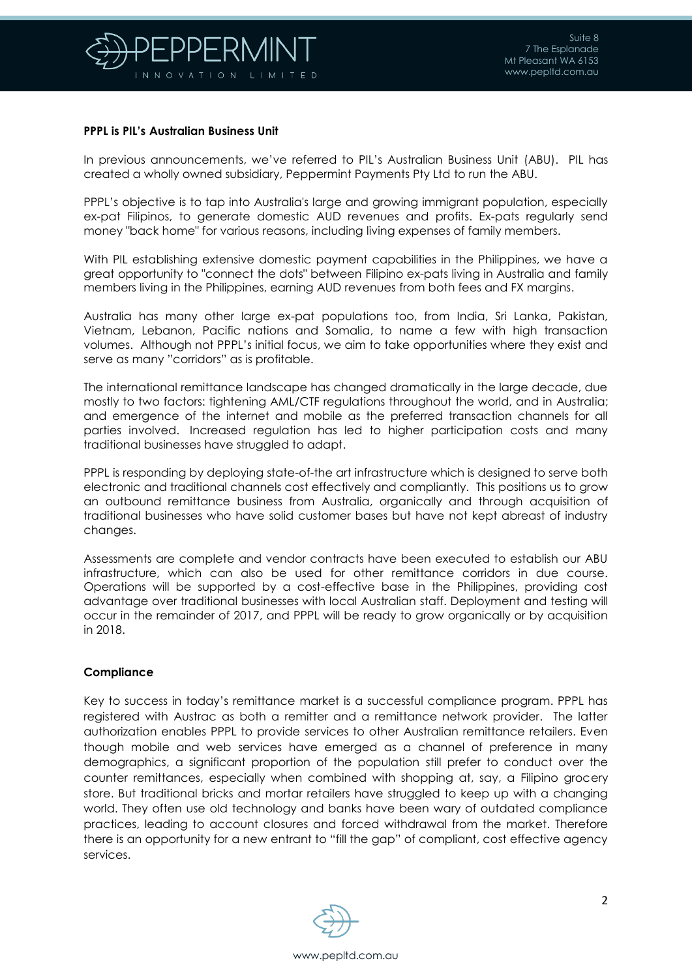

## **PPPL is PIL's Australian Business Unit**

In previous announcements, we've referred to PIL's Australian Business Unit (ABU). PIL has created a wholly owned subsidiary, Peppermint Payments Pty Ltd to run the ABU.

PPPL's objective is to tap into Australia's large and growing immigrant population, especially ex-pat Filipinos, to generate domestic AUD revenues and profits. Ex-pats regularly send money "back home" for various reasons, including living expenses of family members.

With PIL establishing extensive domestic payment capabilities in the Philippines, we have a great opportunity to "connect the dots" between Filipino ex-pats living in Australia and family members living in the Philippines, earning AUD revenues from both fees and FX margins.

Australia has many other large ex-pat populations too, from India, Sri Lanka, Pakistan, Vietnam, Lebanon, Pacific nations and Somalia, to name a few with high transaction volumes. Although not PPPL's initial focus, we aim to take opportunities where they exist and serve as many "corridors" as is profitable.

The international remittance landscape has changed dramatically in the large decade, due mostly to two factors: tightening AML/CTF regulations throughout the world, and in Australia; and emergence of the internet and mobile as the preferred transaction channels for all parties involved. Increased regulation has led to higher participation costs and many traditional businesses have struggled to adapt.

PPPL is responding by deploying state-of-the art infrastructure which is designed to serve both electronic and traditional channels cost effectively and compliantly. This positions us to grow an outbound remittance business from Australia, organically and through acquisition of traditional businesses who have solid customer bases but have not kept abreast of industry changes.

Assessments are complete and vendor contracts have been executed to establish our ABU infrastructure, which can also be used for other remittance corridors in due course. Operations will be supported by a cost-effective base in the Philippines, providing cost advantage over traditional businesses with local Australian staff. Deployment and testing will occur in the remainder of 2017, and PPPL will be ready to grow organically or by acquisition in 2018.

## **Compliance**

Key to success in today's remittance market is a successful compliance program. PPPL has registered with Austrac as both a remitter and a remittance network provider. The latter authorization enables PPPL to provide services to other Australian remittance retailers. Even though mobile and web services have emerged as a channel of preference in many demographics, a significant proportion of the population still prefer to conduct over the counter remittances, especially when combined with shopping at, say, a Filipino grocery store. But traditional bricks and mortar retailers have struggled to keep up with a changing world. They often use old technology and banks have been wary of outdated compliance practices, leading to account closures and forced withdrawal from the market. Therefore there is an opportunity for a new entrant to "fill the gap" of compliant, cost effective agency services.

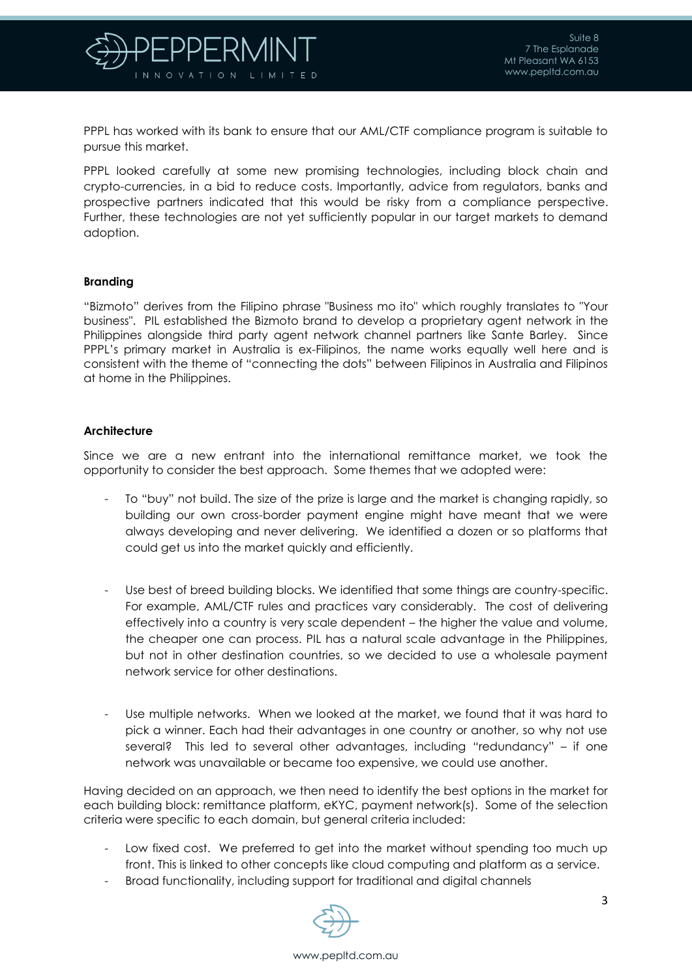

PPPL has worked with its bank to ensure that our AML/CTF compliance program is suitable to pursue this market.

PPPL looked carefully at some new promising technologies, including block chain and crypto-currencies, in a bid to reduce costs. Importantly, advice from regulators, banks and prospective partners indicated that this would be risky from a compliance perspective. Further, these technologies are not yet sufficiently popular in our target markets to demand adoption.

#### **Branding**

"Bizmoto" derives from the Filipino phrase "Business mo ito" which roughly translates to "Your business". PIL established the Bizmoto brand to develop a proprietary agent network in the Philippines alongside third party agent network channel partners like Sante Barley. Since PPPL's primary market in Australia is ex-Filipinos, the name works equally well here and is consistent with the theme of "connecting the dots" between Filipinos in Australia and Filipinos at home in the Philippines.

## **Architecture**

Since we are a new entrant into the international remittance market, we took the opportunity to consider the best approach. Some themes that we adopted were:

- To "buy" not build. The size of the prize is large and the market is changing rapidly, so building our own cross-border payment engine might have meant that we were always developing and never delivering. We identified a dozen or so platforms that could get us into the market quickly and efficiently.
- Use best of breed building blocks. We identified that some things are country-specific. For example, AML/CTF rules and practices vary considerably. The cost of delivering effectively into a country is very scale dependent – the higher the value and volume, the cheaper one can process. PIL has a natural scale advantage in the Philippines, but not in other destination countries, so we decided to use a wholesale payment network service for other destinations.
- Use multiple networks. When we looked at the market, we found that it was hard to pick a winner. Each had their advantages in one country or another, so why not use several? This led to several other advantages, including "redundancy" – if one network was unavailable or became too expensive, we could use another.

Having decided on an approach, we then need to identify the best options in the market for each building block: remittance platform, eKYC, payment network(s). Some of the selection criteria were specific to each domain, but general criteria included:

- Low fixed cost. We preferred to get into the market without spending too much up front. This is linked to other concepts like cloud computing and platform as a service.
- Broad functionality, including support for traditional and digital channels

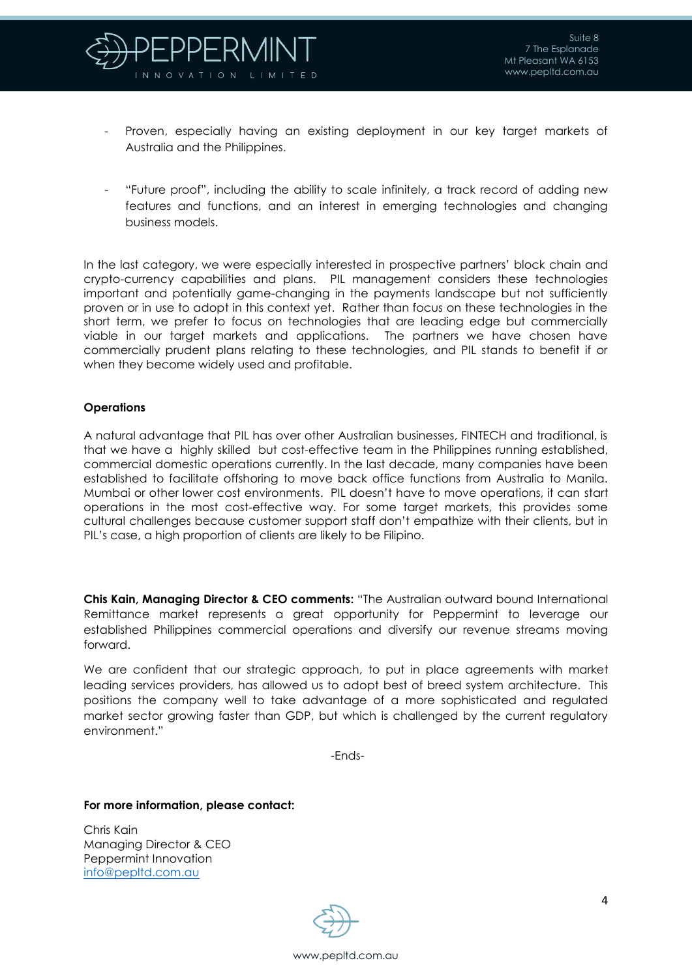

- Proven, especially having an existing deployment in our key target markets of Australia and the Philippines.
- "Future proof", including the ability to scale infinitely, a track record of adding new features and functions, and an interest in emerging technologies and changing business models.

In the last category, we were especially interested in prospective partners' block chain and crypto-currency capabilities and plans. PIL management considers these technologies important and potentially game-changing in the payments landscape but not sufficiently proven or in use to adopt in this context yet. Rather than focus on these technologies in the short term, we prefer to focus on technologies that are leading edge but commercially viable in our target markets and applications. The partners we have chosen have commercially prudent plans relating to these technologies, and PIL stands to benefit if or when they become widely used and profitable.

## **Operations**

A natural advantage that PIL has over other Australian businesses, FINTECH and traditional, is that we have a highly skilled but cost-effective team in the Philippines running established, commercial domestic operations currently. In the last decade, many companies have been established to facilitate offshoring to move back office functions from Australia to Manila. Mumbai or other lower cost environments. PIL doesn't have to move operations, it can start operations in the most cost-effective way. For some target markets, this provides some cultural challenges because customer support staff don't empathize with their clients, but in PIL's case, a high proportion of clients are likely to be Filipino.

**Chis Kain, Managing Director & CEO comments:** "The Australian outward bound International Remittance market represents a great opportunity for Peppermint to leverage our established Philippines commercial operations and diversify our revenue streams moving forward.

We are confident that our strategic approach, to put in place agreements with market leading services providers, has allowed us to adopt best of breed system architecture. This positions the company well to take advantage of a more sophisticated and regulated market sector growing faster than GDP, but which is challenged by the current regulatory environment."

-Ends-

#### **For more information, please contact:**

Chris Kain Managing Director & CEO Peppermint Innovation [info@pepltd.com.au](mailto:info@pepltd.com.au)